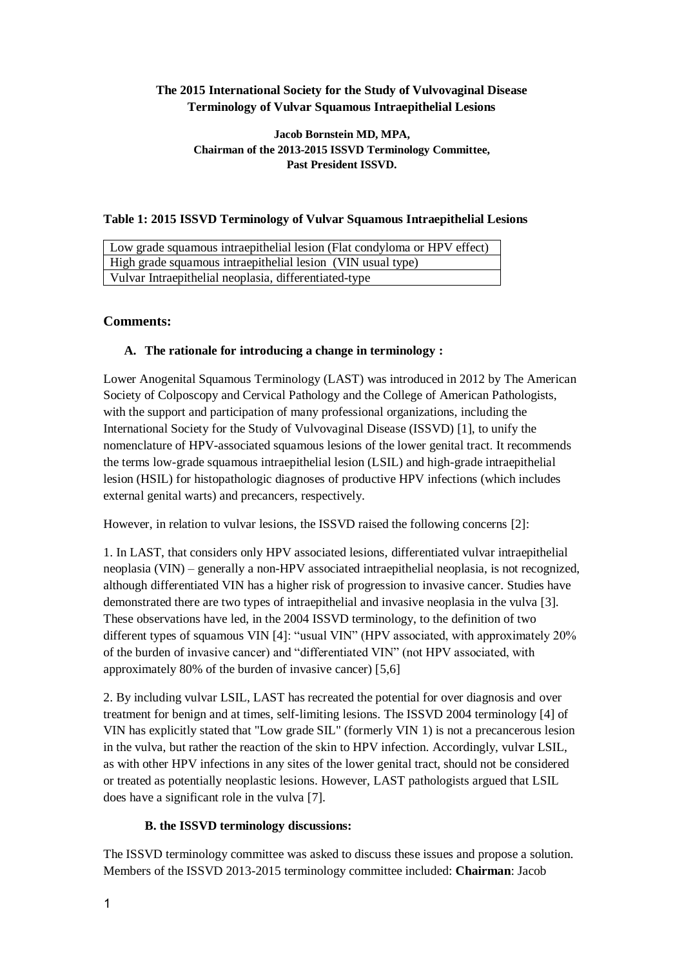# **The 2015 International Society for the Study of Vulvovaginal Disease Terminology of Vulvar Squamous Intraepithelial Lesions**

### **Jacob Bornstein MD, MPA, Chairman of the 2013-2015 ISSVD Terminology Committee, Past President ISSVD.**

## **Table 1: 2015 ISSVD Terminology of Vulvar Squamous Intraepithelial Lesions**

| Low grade squamous intraepithelial lesion (Flat condyloma or HPV effect) |
|--------------------------------------------------------------------------|
| High grade squamous intraepithelial lesion (VIN usual type)              |
| Vulvar Intraepithelial neoplasia, differentiated-type                    |

## **Comments:**

### **A. The rationale for introducing a change in terminology :**

Lower Anogenital Squamous Terminology (LAST) was introduced in 2012 by The American Society of Colposcopy and Cervical Pathology and the College of American Pathologists, with the support and participation of many professional organizations, including the International Society for the Study of Vulvovaginal Disease (ISSVD) [1], to unify the nomenclature of HPV-associated squamous lesions of the lower genital tract. It recommends the terms low-grade squamous intraepithelial lesion (LSIL) and high-grade intraepithelial lesion (HSIL) for histopathologic diagnoses of productive HPV infections (which includes external genital warts) and precancers, respectively.

However, in relation to vulvar lesions, the ISSVD raised the following concerns [2]:

1. In LAST, that considers only HPV associated lesions, differentiated vulvar intraepithelial neoplasia (VIN) – generally a non-HPV associated intraepithelial neoplasia, is not recognized, although differentiated VIN has a higher risk of progression to invasive cancer. Studies have demonstrated there are two types of intraepithelial and invasive neoplasia in the vulva [3]. These observations have led, in the 2004 ISSVD terminology, to the definition of two different types of squamous VIN [4]: "usual VIN" (HPV associated, with approximately 20% of the burden of invasive cancer) and "differentiated VIN" (not HPV associated, with approximately 80% of the burden of invasive cancer) [5,6]

2. By including vulvar LSIL, LAST has recreated the potential for over diagnosis and over treatment for benign and at times, self-limiting lesions. The ISSVD 2004 terminology [4] of VIN has explicitly stated that "Low grade SIL" (formerly VIN 1) is not a precancerous lesion in the vulva, but rather the reaction of the skin to HPV infection. Accordingly, vulvar LSIL, as with other HPV infections in any sites of the lower genital tract, should not be considered or treated as potentially neoplastic lesions. However, LAST pathologists argued that LSIL does have a significant role in the vulva [7].

#### **B. the ISSVD terminology discussions:**

The ISSVD terminology committee was asked to discuss these issues and propose a solution. Members of the ISSVD 2013-2015 terminology committee included: **Chairman**: Jacob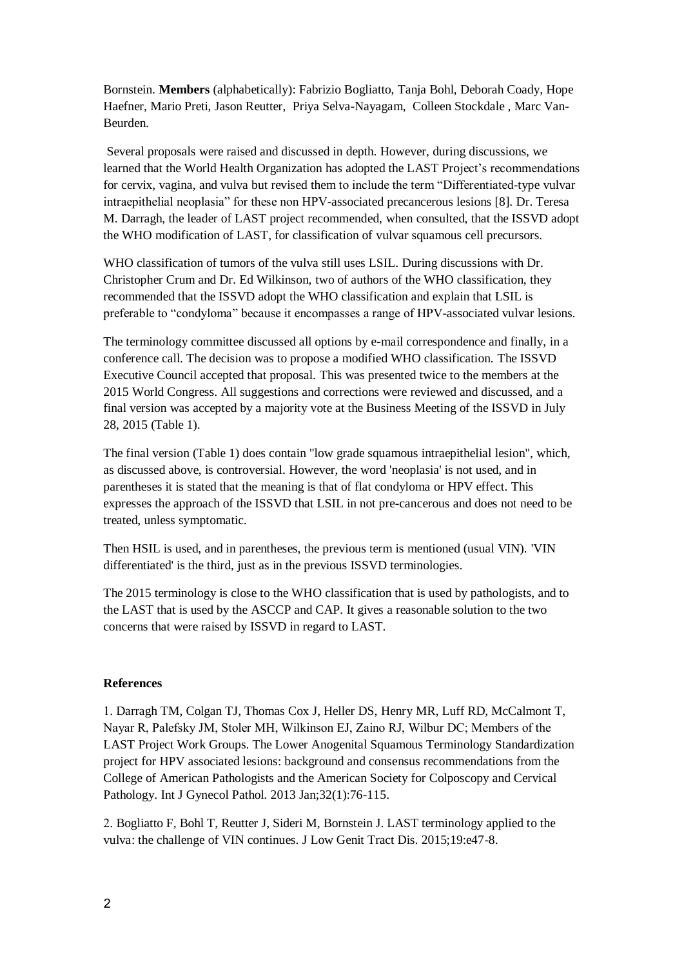Bornstein. **Members** (alphabetically): Fabrizio Bogliatto, Tanja Bohl, Deborah Coady, Hope Haefner, Mario Preti, Jason Reutter, Priya Selva-Nayagam, Colleen Stockdale , Marc Van-Beurden.

Several proposals were raised and discussed in depth. However, during discussions, we learned that the World Health Organization has adopted the LAST Project's recommendations for cervix, vagina, and vulva but revised them to include the term "Differentiated-type vulvar intraepithelial neoplasia" for these non HPV-associated precancerous lesions [8]. Dr. Teresa M. Darragh, the leader of LAST project recommended, when consulted, that the ISSVD adopt the WHO modification of LAST, for classification of vulvar squamous cell precursors.

WHO classification of tumors of the vulva still uses LSIL. During discussions with Dr. Christopher Crum and Dr. Ed Wilkinson, two of authors of the WHO classification, they recommended that the ISSVD adopt the WHO classification and explain that LSIL is preferable to "condyloma" because it encompasses a range of HPV-associated vulvar lesions.

The terminology committee discussed all options by e-mail correspondence and finally, in a conference call. The decision was to propose a modified WHO classification. The ISSVD Executive Council accepted that proposal. This was presented twice to the members at the 2015 World Congress. All suggestions and corrections were reviewed and discussed, and a final version was accepted by a majority vote at the Business Meeting of the ISSVD in July 28, 2015 (Table 1).

The final version (Table 1) does contain "low grade squamous intraepithelial lesion", which, as discussed above, is controversial. However, the word 'neoplasia' is not used, and in parentheses it is stated that the meaning is that of flat condyloma or HPV effect. This expresses the approach of the ISSVD that LSIL in not pre-cancerous and does not need to be treated, unless symptomatic.

Then HSIL is used, and in parentheses, the previous term is mentioned (usual VIN). 'VIN differentiated' is the third, just as in the previous ISSVD terminologies.

The 2015 terminology is close to the WHO classification that is used by pathologists, and to the LAST that is used by the ASCCP and CAP. It gives a reasonable solution to the two concerns that were raised by ISSVD in regard to LAST.

#### **References**

1. Darragh TM, Colgan TJ, Thomas Cox J, Heller DS, Henry MR, Luff RD, McCalmont T, Nayar R, Palefsky JM, Stoler MH, Wilkinson EJ, Zaino RJ, Wilbur DC; Members of the LAST Project Work Groups. The Lower Anogenital Squamous Terminology Standardization project for HPV associated lesions: background and consensus recommendations from the College of American Pathologists and the American Society for Colposcopy and Cervical Pathology. Int J Gynecol Pathol. 2013 Jan;32(1):76-115.

2. Bogliatto F, Bohl T, Reutter J, Sideri M, Bornstein J. LAST terminology applied to the vulva: the challenge of VIN continues. J Low Genit Tract Dis. 2015;19:e47-8.